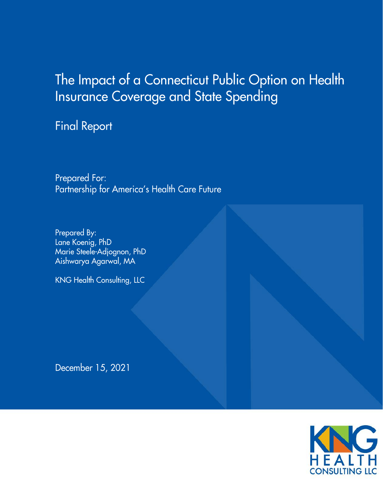# The Impact of a Connecticut Public Option on Health **Insurance Coverage and State Spending**

**Final Report** 

Prepared For: Partnership for America's Health Care Future

Prepared By: Lane Koenig, PhD Marie Steele-Adjognon, PhD Aishwarya Agarwal, MA

**KNG Health Consulting, LLC** 

December 15, 2021

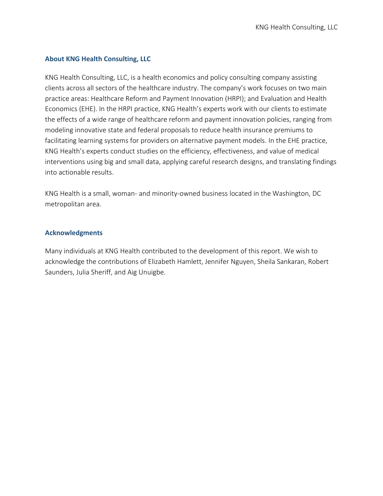# **About KNG Health Consulting, LLC**

KNG Health Consulting, LLC, is a health economics and policy consulting company assisting clients across all sectors of the healthcare industry. The company's work focuses on two main practice areas: Healthcare Reform and Payment Innovation (HRPI); and Evaluation and Health Economics (EHE). In the HRPI practice, KNG Health's experts work with our clients to estimate the effects of a wide range of healthcare reform and payment innovation policies, ranging from modeling innovative state and federal proposals to reduce health insurance premiums to facilitating learning systems for providers on alternative payment models. In the EHE practice, KNG Health's experts conduct studies on the efficiency, effectiveness, and value of medical interventions using big and small data, applying careful research designs, and translating findings into actionable results.

KNG Health is a small, woman- and minority-owned business located in the Washington, DC metropolitan area.

# **Acknowledgments**

Many individuals at KNG Health contributed to the development of this report. We wish to acknowledge the contributions of Elizabeth Hamlett, Jennifer Nguyen, Sheila Sankaran, Robert Saunders, Julia Sheriff, and Aig Unuigbe.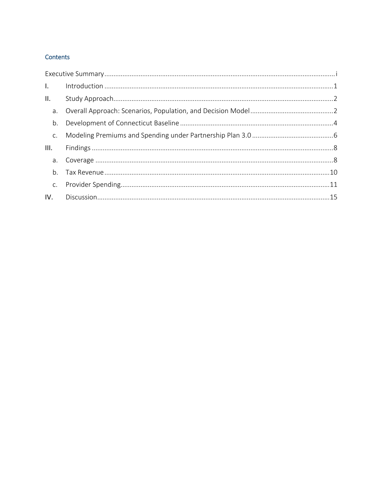# Contents

| $\mathbf{L}$   |  |
|----------------|--|
| II.            |  |
|                |  |
| b.             |  |
|                |  |
| III.           |  |
|                |  |
| b <sub>1</sub> |  |
|                |  |
| IV.            |  |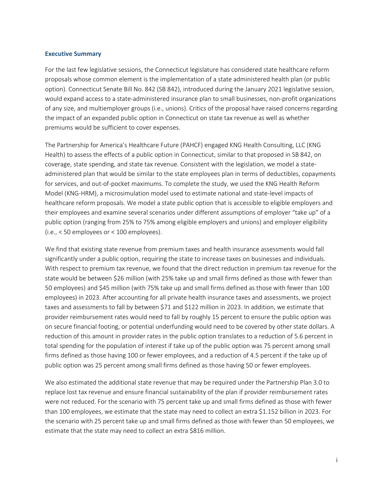#### <span id="page-3-0"></span>**Executive Summary**

For the last few legislative sessions, the Connecticut legislature has considered state healthcare reform proposals whose common element is the implementation of a state administered health plan (or public option). Connecticut Senate Bill No. 842 (SB 842), introduced during the January 2021 legislative session, would expand access to a state-administered insurance plan to small businesses, non-profit organizations of any size, and multiemployer groups (i.e., unions). Critics of the proposal have raised concerns regarding the impact of an expanded public option in Connecticut on state tax revenue as well as whether premiums would be sufficient to cover expenses.

The Partnership for America's Healthcare Future (PAHCF) engaged KNG Health Consulting, LLC (KNG Health) to assess the effects of a public option in Connecticut, similar to that proposed in SB 842, on coverage, state spending, and state tax revenue. Consistent with the legislation, we model a stateadministered plan that would be similar to the state employees plan in terms of deductibles, copayments for services, and out-of-pocket maximums. To complete the study, we used the KNG Health Reform Model (KNG-HRM), a microsimulation model used to estimate national and state-level impacts of healthcare reform proposals. We model a state public option that is accessible to eligible employers and their employees and examine several scenarios under different assumptions of employer "take up" of a public option (ranging from 25% to 75% among eligible employers and unions) and employer eligibility (i.e., < 50 employees or < 100 employees).

We find that existing state revenue from premium taxes and health insurance assessments would fall significantly under a public option, requiring the state to increase taxes on businesses and individuals. With respect to premium tax revenue, we found that the direct reduction in premium tax revenue for the state would be between \$26 million (with 25% take up and small firms defined as those with fewer than 50 employees) and \$45 million (with 75% take up and small firms defined as those with fewer than 100 employees) in 2023. After accounting for all private health insurance taxes and assessments, we project taxes and assessments to fall by between \$71 and \$122 million in 2023. In addition, we estimate that provider reimbursement rates would need to fall by roughly 15 percent to ensure the public option was on secure financial footing, or potential underfunding would need to be covered by other state dollars. A reduction of this amount in provider rates in the public option translates to a reduction of 5.6 percent in total spending for the population of interest if take up of the public option was 75 percent among small firms defined as those having 100 or fewer employees, and a reduction of 4.5 percent if the take up of public option was 25 percent among small firms defined as those having 50 or fewer employees.

We also estimated the additional state revenue that may be required under the Partnership Plan 3.0 to replace lost tax revenue and ensure financial sustainability of the plan if provider reimbursement rates were not reduced. For the scenario with 75 percent take up and small firms defined as those with fewer than 100 employees, we estimate that the state may need to collect an extra \$1.152 billion in 2023. For the scenario with 25 percent take up and small firms defined as those with fewer than 50 employees, we estimate that the state may need to collect an extra \$816 million.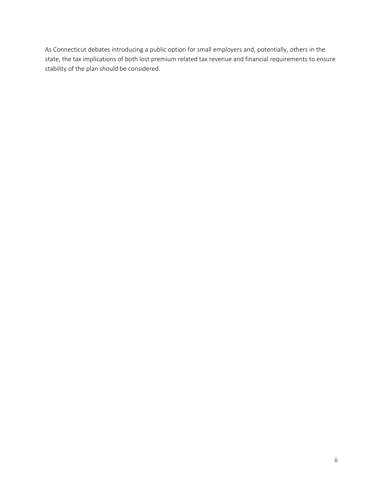As Connecticut debates introducing a public option for small employers and, potentially, others in the state, the tax implications of both lost premium related tax revenue and financial requirements to ensure stability of the plan should be considered.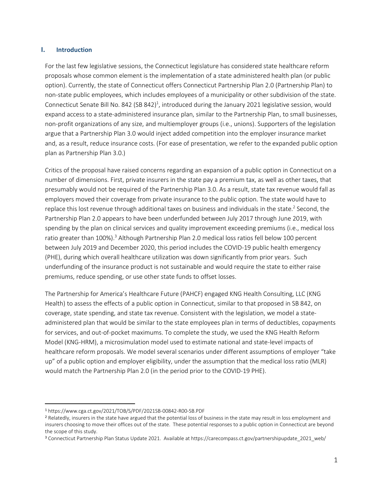#### <span id="page-5-0"></span>**I. Introduction**

For the last few legislative sessions, the Connecticut legislature has considered state healthcare reform proposals whose common element is the implementation of a state administered health plan (or public option). Currently, the state of Connecticut offers Connecticut Partnership Plan 2.0 (Partnership Plan) to non-state public employees, which includes employees of a municipality or other subdivision of the state. Connecticut Senate Bill No. 842 (SB 842)<sup>1</sup>, introduced during the January 2021 legislative session, would expand access to a state-administered insurance plan, similar to the Partnership Plan, to small businesses, non-profit organizations of any size, and multiemployer groups (i.e., unions). Supporters of the legislation argue that a Partnership Plan 3.0 would inject added competition into the employer insurance market and, as a result, reduce insurance costs. (For ease of presentation, we refer to the expanded public option plan as Partnership Plan 3.0.)

Critics of the proposal have raised concerns regarding an expansion of a public option in Connecticut on a number of dimensions. First, private insurers in the state pay a premium tax, as well as other taxes, that presumably would not be required of the Partnership Plan 3.0. As a result, state tax revenue would fall as employers moved their coverage from private insurance to the public option. The state would have to replace this lost revenue through additional taxes on business and individuals in the state. 2 Second, the Partnership Plan 2.0 appears to have been underfunded between July 2017 through June 2019, with spending by the plan on clinical services and quality improvement exceeding premiums (i.e., medical loss ratio greater than 100%).<sup>3</sup> Although Partnership Plan 2.0 medical loss ratios fell below 100 percent between July 2019 and December 2020, this period includes the COVID-19 public health emergency (PHE), during which overall healthcare utilization was down significantly from prior years. Such underfunding of the insurance product is not sustainable and would require the state to either raise premiums, reduce spending, or use other state funds to offset losses.

The Partnership for America's Healthcare Future (PAHCF) engaged KNG Health Consulting, LLC (KNG Health) to assess the effects of a public option in Connecticut, similar to that proposed in SB 842, on coverage, state spending, and state tax revenue. Consistent with the legislation, we model a stateadministered plan that would be similar to the state employees plan in terms of deductibles, copayments for services, and out-of-pocket maximums. To complete the study, we used the KNG Health Reform Model (KNG-HRM), a microsimulation model used to estimate national and state-level impacts of healthcare reform proposals. We model several scenarios under different assumptions of employer "take up" of a public option and employer eligibility, under the assumption that the medical loss ratio (MLR) would match the Partnership Plan 2.0 (in the period prior to the COVID-19 PHE).

 $\overline{a}$ 

<sup>1</sup> https://www.cga.ct.gov/2021/TOB/S/PDF/2021SB-00842-R00-SB.PDF

<sup>&</sup>lt;sup>2</sup> Relatedly, insurers in the state have argued that the potential loss of business in the state may result in loss employment and insurers choosing to move their offices out of the state. These potential responses to a public option in Connecticut are beyond the scope of this study.

<sup>3</sup> Connecticut Partnership Plan Status Update 2021. Available at https://carecompass.ct.gov/partnershipupdate\_2021\_web/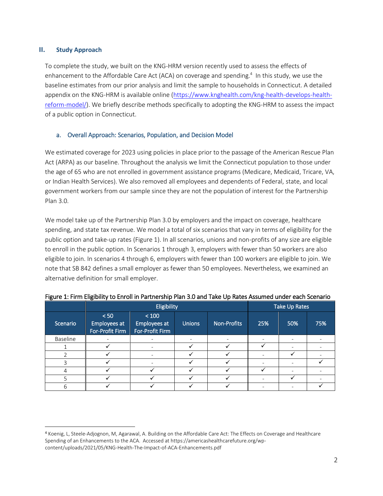## <span id="page-6-0"></span>**II. Study Approach**

 $\overline{a}$ 

To complete the study, we built on the KNG-HRM version recently used to assess the effects of enhancement to the Affordable Care Act (ACA) on coverage and spending.<sup>4</sup> In this study, we use the baseline estimates from our prior analysis and limit the sample to households in Connecticut. A detailed appendix on the KNG-HRM is available online [\(https://www.knghealth.com/kng-health-develops-health](https://www.knghealth.com/kng-health-develops-health-reform-model/)[reform-model/\)](https://www.knghealth.com/kng-health-develops-health-reform-model/). We briefly describe methods specifically to adopting the KNG-HRM to assess the impact of a public option in Connecticut.

## <span id="page-6-1"></span>a. Overall Approach: Scenarios, Population, and Decision Model

We estimated coverage for 2023 using policies in place prior to the passage of the American Rescue Plan Act (ARPA) as our baseline. Throughout the analysis we limit the Connecticut population to those under the age of 65 who are not enrolled in government assistance programs (Medicare, Medicaid, Tricare, VA, or Indian Health Services). We also removed all employees and dependents of Federal, state, and local government workers from our sample since they are not the population of interest for the Partnership Plan 3.0.

We model take up of the Partnership Plan 3.0 by employers and the impact on coverage, healthcare spending, and state tax revenue. We model a total of six scenarios that vary in terms of eligibility for the public option and take-up rates (Figure 1). In all scenarios, unions and non-profits of any size are eligible to enroll in the public option. In Scenarios 1 through 3, employers with fewer than 50 workers are also eligible to join. In scenarios 4 through 6, employers with fewer than 100 workers are eligible to join. We note that SB 842 defines a small employer as fewer than 50 employees. Nevertheless, we examined an alternative definition for small employer.

|          |                                         | Eligibility                              |               | Take Up Rates      |     |     |     |
|----------|-----------------------------------------|------------------------------------------|---------------|--------------------|-----|-----|-----|
| Scenario | < 50<br>Employees at<br>For-Profit Firm | < 100<br>Employees at<br>For-Profit Firm | <b>Unions</b> | <b>Non-Profits</b> | 25% | 50% | 75% |
| Baseline |                                         |                                          |               |                    | -   |     |     |
|          |                                         |                                          |               |                    |     |     |     |
|          |                                         |                                          |               |                    |     |     |     |
|          |                                         |                                          |               |                    |     |     |     |
|          |                                         |                                          |               |                    |     |     |     |
|          |                                         |                                          |               |                    |     |     |     |
| 6        |                                         |                                          |               |                    |     |     |     |

#### Figure 1: Firm Eligibility to Enroll in Partnership Plan 3.0 and Take Up Rates Assumed under each Scenario

<sup>4</sup> Koenig, L, Steele-Adjognon, M, Agarawal, A. Building on the Affordable Care Act: The Effects on Coverage and Healthcare Spending of an Enhancements to the ACA. Accessed at https://americashealthcarefuture.org/wpcontent/uploads/2021/05/KNG-Health-The-Impact-of-ACA-Enhancements.pdf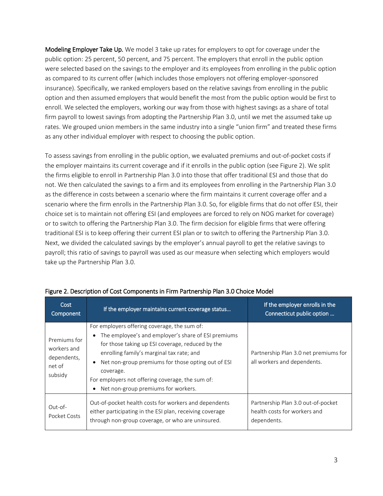Modeling Employer Take Up. We model 3 take up rates for employers to opt for coverage under the public option: 25 percent, 50 percent, and 75 percent. The employers that enroll in the public option were selected based on the savings to the employer and its employees from enrolling in the public option as compared to its current offer (which includes those employers not offering employer-sponsored insurance). Specifically, we ranked employers based on the relative savings from enrolling in the public option and then assumed employers that would benefit the most from the public option would be first to enroll. We selected the employers, working our way from those with highest savings as a share of total firm payroll to lowest savings from adopting the Partnership Plan 3.0, until we met the assumed take up rates. We grouped union members in the same industry into a single "union firm" and treated these firms as any other individual employer with respect to choosing the public option.

To assess savings from enrolling in the public option, we evaluated premiums and out-of-pocket costs if the employer maintains its current coverage and if it enrolls in the public option (see Figure 2). We split the firms eligible to enroll in Partnership Plan 3.0 into those that offer traditional ESI and those that do not. We then calculated the savings to a firm and its employees from enrolling in the Partnership Plan 3.0 as the difference in costs between a scenario where the firm maintains it current coverage offer and a scenario where the firm enrolls in the Partnership Plan 3.0. So, for eligible firms that do not offer ESI, their choice set is to maintain not offering ESI (and employees are forced to rely on NOG market for coverage) or to switch to offering the Partnership Plan 3.0. The firm decision for eligible firms that were offering traditional ESI is to keep offering their current ESI plan or to switch to offering the Partnership Plan 3.0. Next, we divided the calculated savings by the employer's annual payroll to get the relative savings to payroll; this ratio of savings to payroll was used as our measure when selecting which employers would take up the Partnership Plan 3.0.

| Cost<br>Component                                               | If the employer maintains current coverage status                                                                                                                                                                                                                                                                                                                  | If the employer enrolls in the<br>Connecticut public option                       |
|-----------------------------------------------------------------|--------------------------------------------------------------------------------------------------------------------------------------------------------------------------------------------------------------------------------------------------------------------------------------------------------------------------------------------------------------------|-----------------------------------------------------------------------------------|
| Premiums for<br>workers and<br>dependents,<br>net of<br>subsidy | For employers offering coverage, the sum of:<br>The employee's and employer's share of ESI premiums<br>for those taking up ESI coverage, reduced by the<br>enrolling family's marginal tax rate; and<br>Net non-group premiums for those opting out of ESI<br>coverage.<br>For employers not offering coverage, the sum of:<br>Net non-group premiums for workers. | Partnership Plan 3.0 net premiums for<br>all workers and dependents.              |
| Out-of-<br>Pocket Costs                                         | Out-of-pocket health costs for workers and dependents<br>either participating in the ESI plan, receiving coverage<br>through non-group coverage, or who are uninsured.                                                                                                                                                                                             | Partnership Plan 3.0 out-of-pocket<br>health costs for workers and<br>dependents. |

#### Figure 2. Description of Cost Components in Firm Partnership Plan 3.0 Choice Model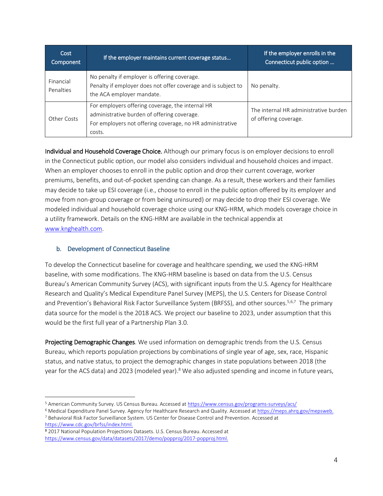| Cost<br>Component      | If the employer maintains current coverage status                                                                                                                      | If the employer enrolls in the<br>Connecticut public option    |
|------------------------|------------------------------------------------------------------------------------------------------------------------------------------------------------------------|----------------------------------------------------------------|
| Financial<br>Penalties | No penalty if employer is offering coverage.<br>Penalty if employer does not offer coverage and is subject to<br>the ACA employer mandate.                             | No penalty.                                                    |
| Other Costs            | For employers offering coverage, the internal HR<br>administrative burden of offering coverage.<br>For employers not offering coverage, no HR administrative<br>costs. | The internal HR administrative burden<br>of offering coverage. |

Individual and Household Coverage Choice. Although our primary focus is on employer decisions to enroll in the Connecticut public option, our model also considers individual and household choices and impact. When an employer chooses to enroll in the public option and drop their current coverage, worker premiums, benefits, and out-of-pocket spending can change. As a result, these workers and their families may decide to take up ESI coverage (i.e., choose to enroll in the public option offered by its employer and move from non-group coverage or from being uninsured) or may decide to drop their ESI coverage. We modeled individual and household coverage choice using our KNG-HRM, which models coverage choice in a utility framework. Details on the KNG-HRM are available in the technical appendix at [www.knghealth.com.](file://///kng-dc01/Share/projects/Partnership%20for%20Americas%20Health%20Care%20Future/Connecticut%20Public%20Option/Report/www.knghealth.com)

## <span id="page-8-0"></span>b. Development of Connecticut Baseline

To develop the Connecticut baseline for coverage and healthcare spending, we used the KNG-HRM baseline, with some modifications. The KNG-HRM baseline is based on data from the U.S. Census Bureau's American Community Survey (ACS), with significant inputs from the U.S. Agency for Healthcare Research and Quality's Medical Expenditure Panel Survey (MEPS), the U.S. Centers for Disease Control and Prevention's Behavioral Risk Factor Surveillance System (BRFSS), and other sources.<sup>5,6,7</sup> The primary data source for the model is the 2018 ACS. We project our baseline to 2023, under assumption that this would be the first full year of a Partnership Plan 3.0.

Projecting Demographic Changes. We used information on demographic trends from the U.S. Census Bureau, which reports population projections by combinations of single year of age, sex, race, Hispanic status, and native status, to project the demographic changes in state populations between 2018 (the year for the ACS data) and 2023 (modeled year).<sup>8</sup> We also adjusted spending and income in future years,

<sup>8</sup> 2017 National Population Projections Datasets. U.S. Census Bureau. Accessed at [https://www.census.gov/data/datasets/2017/demo/popproj/2017-popproj.html.](https://www.census.gov/data/datasets/2017/demo/popproj/2017-popproj.html)

 $\overline{a}$ 5 American Community Survey. US Census Bureau. Accessed a[t https://www.census.gov/programs-surveys/acs/](https://www.census.gov/programs-surveys/acs/)

<sup>6</sup> Medical Expenditure Panel Survey. Agency for Healthcare Research and Quality. Accessed a[t https://meps.ahrq.gov/mepsweb.](https://meps.ahrq.gov/mepsweb/) <sup>7</sup> Behavioral Risk Factor Surveillance System. US Center for Disease Control and Prevention. Accessed at <https://www.cdc.gov/brfss/index.html>.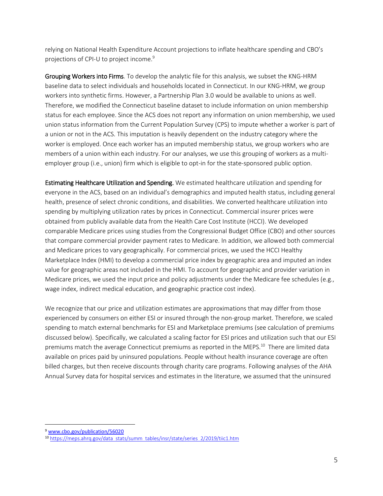relying on National Health Expenditure Account projections to inflate healthcare spending and CBO's projections of CPI-U to project income. 9

Grouping Workers into Firms. To develop the analytic file for this analysis, we subset the KNG-HRM baseline data to select individuals and households located in Connecticut. In our KNG-HRM, we group workers into synthetic firms. However, a Partnership Plan 3.0 would be available to unions as well. Therefore, we modified the Connecticut baseline dataset to include information on union membership status for each employee. Since the ACS does not report any information on union membership, we used union status information from the Current Population Survey (CPS) to impute whether a worker is part of a union or not in the ACS. This imputation is heavily dependent on the industry category where the worker is employed. Once each worker has an imputed membership status, we group workers who are members of a union within each industry. For our analyses, we use this grouping of workers as a multiemployer group (i.e., union) firm which is eligible to opt-in for the state-sponsored public option.

Estimating Healthcare Utilization and Spending. We estimated healthcare utilization and spending for everyone in the ACS, based on an individual's demographics and imputed health status, including general health, presence of select chronic conditions, and disabilities. We converted healthcare utilization into spending by multiplying utilization rates by prices in Connecticut. Commercial insurer prices were obtained from publicly available data from the Health Care Cost Institute (HCCI). We developed comparable Medicare prices using studies from the Congressional Budget Office (CBO) and other sources that compare commercial provider payment rates to Medicare. In addition, we allowed both commercial and Medicare prices to vary geographically. For commercial prices, we used the HCCI Healthy Marketplace Index (HMI) to develop a commercial price index by geographic area and imputed an index value for geographic areas not included in the HMI. To account for geographic and provider variation in Medicare prices, we used the input price and policy adjustments under the Medicare fee schedules (e.g., wage index, indirect medical education, and geographic practice cost index).

We recognize that our price and utilization estimates are approximations that may differ from those experienced by consumers on either ESI or insured through the non-group market. Therefore, we scaled spending to match external benchmarks for ESI and Marketplace premiums (see calculation of premiums discussed below). Specifically, we calculated a scaling factor for ESI prices and utilization such that our ESI premiums match the average Connecticut premiums as reported in the MEPS. <sup>10</sup> There are limited data available on prices paid by uninsured populations. People without health insurance coverage are often billed charges, but then receive discounts through charity care programs. Following analyses of the AHA Annual Survey data for hospital services and estimates in the literature, we assumed that the uninsured

 $\overline{a}$ 

<sup>9</sup> [www.cbo.gov/publication/56020](http://www.cbo.gov/publication/56020)

<sup>10</sup> [https://meps.ahrq.gov/data stats/summ tables/insr/state/series 2/2019/tiic1.htm](https://meps.ahrq.gov/data_stats/summ_tables/insr/state/series_2/2019/tiic1.htm)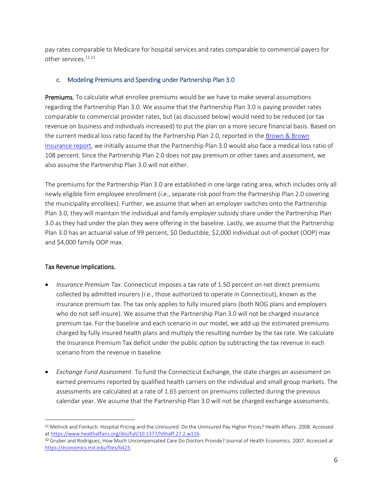pay rates comparable to Medicare for hospital services and rates comparable to commercial payers for other services.<sup>11,12</sup>

## <span id="page-10-0"></span>c. Modeling Premiums and Spending under Partnership Plan 3.0

Premiums. To calculate what enrollee premiums would be we have to make several assumptions regarding the Partnership Plan 3.0. We assume that the Partnership Plan 3.0 is paying provider rates comparable to commercial provider rates, but (as discussed below) would need to be reduced (or tax revenue on business and individuals increased) to put the plan on a more secure financial basis. Based on the current medical loss ratio faced by the Partnership Plan 2.0, reported in th[e Brown & Brown](https://www.cbia.com/wp-content/uploads/2020/03/SPP-Presentation-from-Brown-Brown-03-13-20.pdf)  [Insurance report,](https://www.cbia.com/wp-content/uploads/2020/03/SPP-Presentation-from-Brown-Brown-03-13-20.pdf) we initially assume that the Partnership Plan 3.0 would also face a medical loss ratio of 108 percent. Since the Partnership Plan 2.0 does not pay premium or other taxes and assessment, we also assume the Partnership Plan 3.0 will not either.

The premiums for the Partnership Plan 3.0 are established in one large rating area, which includes only all newly eligible firm employee enrollment (i.e., separate risk pool from the Partnership Plan 2.0 covering the municipality enrollees). Further, we assume that when an employer switches onto the Partnership Plan 3.0, they will maintain the individual and family employer subsidy share under the Partnership Plan 3.0 as they had under the plan they were offering in the baseline. Lastly, we assume that the Partnership Plan 3.0 has an actuarial value of 99 percent, \$0 Deductible, \$2,000 individual out-of-pocket (OOP) max and \$4,000 family OOP max.

## Tax Revenue Implications.

 $\overline{a}$ 

- *Insurance Premium Tax*. Connecticut imposes a tax rate of 1.50 percent on net direct premiums collected by admitted insurers (i.e., those authorized to operate in Connecticut), known as the insurance premium tax. The tax only applies to fully insured plans (both NOG plans and employers who do not self-insure). We assume that the Partnership Plan 3.0 will not be charged insurance premium tax. For the baseline and each scenario in our model, we add up the estimated premiums charged by fully insured health plans and multiply the resulting number by the tax rate. We calculate the Insurance Premium Tax deficit under the public option by subtracting the tax revenue in each scenario from the revenue in baseline.
- *Exchange Fund Assessment.* To fund the Connecticut Exchange, the state charges an assessment on earned premiums reported by qualified health carriers on the individual and small group markets. The assessments are calculated at a rate of 1.65 percent on premiums collected during the previous calendar year. We assume that the Partnership Plan 3.0 will not be charged exchange assessments.

<sup>11</sup> Melnick and Fonkych. Hospital Pricing and the Uninsured: Do the Uninsured Pay Higher Prices? Health Affairs. 2008. Accessed a[t https://www.healthaffairs.org/doi/full/10.1377/hlthaff.27.2.w116.](https://www.healthaffairs.org/doi/full/10.1377/hlthaff.27.2.w116)

<sup>12</sup> Gruber and Rodriguez, How Much Uncompensated Care Do Doctors Provide? Journal of Health Economics. 2007. Accessed at [https://economics.mit.edu/files/6423.](https://economics.mit.edu/files/6423)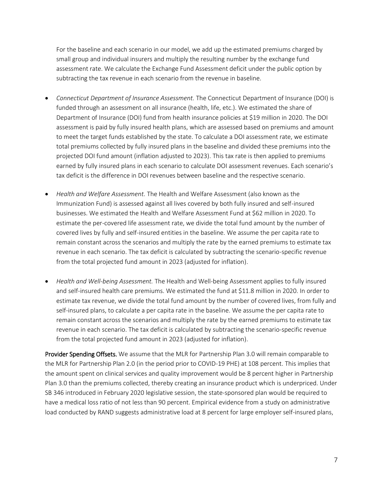For the baseline and each scenario in our model, we add up the estimated premiums charged by small group and individual insurers and multiply the resulting number by the exchange fund assessment rate. We calculate the Exchange Fund Assessment deficit under the public option by subtracting the tax revenue in each scenario from the revenue in baseline.

- *Connecticut Department of Insurance Assessment.* The Connecticut Department of Insurance (DOI) is funded through an assessment on all insurance (health, life, etc.). We estimated the share of Department of Insurance (DOI) fund from health insurance policies at \$19 million in 2020. The DOI assessment is paid by fully insured health plans, which are assessed based on premiums and amount to meet the target funds established by the state. To calculate a DOI assessment rate, we estimate total premiums collected by fully insured plans in the baseline and divided these premiums into the projected DOI fund amount (inflation adjusted to 2023). This tax rate is then applied to premiums earned by fully insured plans in each scenario to calculate DOI assessment revenues. Each scenario's tax deficit is the difference in DOI revenues between baseline and the respective scenario.
- *Health and Welfare Assessment.* The Health and Welfare Assessment (also known as the Immunization Fund) is assessed against all lives covered by both fully insured and self-insured businesses. We estimated the Health and Welfare Assessment Fund at \$62 million in 2020. To estimate the per-covered life assessment rate, we divide the total fund amount by the number of covered lives by fully and self-insured entities in the baseline. We assume the per capita rate to remain constant across the scenarios and multiply the rate by the earned premiums to estimate tax revenue in each scenario. The tax deficit is calculated by subtracting the scenario-specific revenue from the total projected fund amount in 2023 (adjusted for inflation).
- *Health and Well-being Assessment.* The Health and Well-being Assessment applies to fully insured and self-insured health care premiums. We estimated the fund at \$11.8 million in 2020. In order to estimate tax revenue, we divide the total fund amount by the number of covered lives, from fully and self-insured plans, to calculate a per capita rate in the baseline. We assume the per capita rate to remain constant across the scenarios and multiply the rate by the earned premiums to estimate tax revenue in each scenario. The tax deficit is calculated by subtracting the scenario-specific revenue from the total projected fund amount in 2023 (adjusted for inflation).

Provider Spending Offsets. We assume that the MLR for Partnership Plan 3.0 will remain comparable to the MLR for Partnership Plan 2.0 (in the period prior to COVID-19 PHE) at 108 percent. This implies that the amount spent on clinical services and quality improvement would be 8 percent higher in Partnership Plan 3.0 than the premiums collected, thereby creating an insurance product which is underpriced. Under SB 346 introduced in February 2020 legislative session, the state-sponsored plan would be required to have a medical loss ratio of not less than 90 percent. Empirical evidence from a study on administrative load conducted by RAND suggests administrative load at 8 percent for large employer self-insured plans,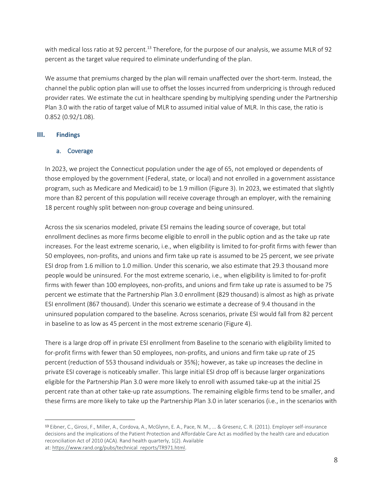with medical loss ratio at 92 percent.<sup>13</sup> Therefore, for the purpose of our analysis, we assume MLR of 92 percent as the target value required to eliminate underfunding of the plan.

We assume that premiums charged by the plan will remain unaffected over the short-term. Instead, the channel the public option plan will use to offset the losses incurred from underpricing is through reduced provider rates. We estimate the cut in healthcare spending by multiplying spending under the Partnership Plan 3.0 with the ratio of target value of MLR to assumed initial value of MLR. In this case, the ratio is 0.852 (0.92/1.08).

## <span id="page-12-0"></span>**III. Findings**

 $\overline{a}$ 

## <span id="page-12-1"></span>a. Coverage

In 2023, we project the Connecticut population under the age of 65, not employed or dependents of those employed by the government (Federal, state, or local) and not enrolled in a government assistance program, such as Medicare and Medicaid) to be 1.9 million (Figure 3). In 2023, we estimated that slightly more than 82 percent of this population will receive coverage through an employer, with the remaining 18 percent roughly split between non-group coverage and being uninsured.

Across the six scenarios modeled, private ESI remains the leading source of coverage, but total enrollment declines as more firms become eligible to enroll in the public option and as the take up rate increases. For the least extreme scenario, i.e., when eligibility is limited to for-profit firms with fewer than 50 employees, non-profits, and unions and firm take up rate is assumed to be 25 percent, we see private ESI drop from 1.6 million to 1.0 million. Under this scenario, we also estimate that 29.3 thousand more people would be uninsured. For the most extreme scenario, i.e., when eligibility is limited to for-profit firms with fewer than 100 employees, non-profits, and unions and firm take up rate is assumed to be 75 percent we estimate that the Partnership Plan 3.0 enrollment (829 thousand) is almost as high as private ESI enrollment (867 thousand). Under this scenario we estimate a decrease of 9.4 thousand in the uninsured population compared to the baseline. Across scenarios, private ESI would fall from 82 percent in baseline to as low as 45 percent in the most extreme scenario (Figure 4).

There is a large drop off in private ESI enrollment from Baseline to the scenario with eligibility limited to for-profit firms with fewer than 50 employees, non-profits, and unions and firm take up rate of 25 percent (reduction of 553 thousand individuals or 35%); however, as take up increases the decline in private ESI coverage is noticeably smaller. This large initial ESI drop off is because larger organizations eligible for the Partnership Plan 3.0 were more likely to enroll with assumed take-up at the initial 25 percent rate than at other take-up rate assumptions. The remaining eligible firms tend to be smaller, and these firms are more likely to take up the Partnership Plan 3.0 in later scenarios (i.e., in the scenarios with

<sup>13</sup> Eibner, C., Girosi, F., Miller, A., Cordova, A., McGlynn, E. A., Pace, N. M., ... & Gresenz, C. R. (2011). Employer self-insurance decisions and the implications of the Patient Protection and Affordable Care Act as modified by the health care and education reconciliation Act of 2010 (ACA). Rand health quarterly, 1(2). Available at: [https://www.rand.org/pubs/technical reports/TR971.html.](https://www.google.com/url?q=https://www.rand.org/pubs/technical_reports/TR971.html&sa=D&source=hangouts&ust=1622158731685000&usg=AFQjCNE5alhFbZ93rRGqFTU7T8rgRebOCw)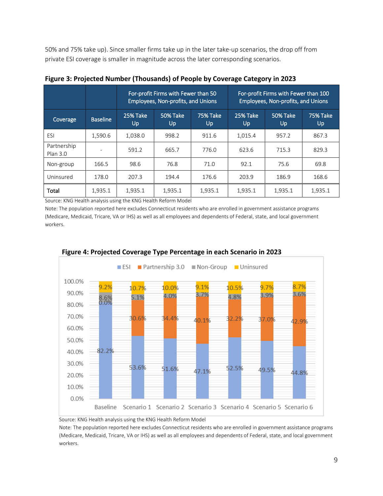50% and 75% take up). Since smaller firms take up in the later take-up scenarios, the drop off from private ESI coverage is smaller in magnitude across the later corresponding scenarios.

|                         |                 |                | For-profit Firms with Fewer than 50<br><b>Employees, Non-profits, and Unions</b> |                       |                 | For-profit Firms with Fewer than 100<br>Employees, Non-profits, and Unions |                       |
|-------------------------|-----------------|----------------|----------------------------------------------------------------------------------|-----------------------|-----------------|----------------------------------------------------------------------------|-----------------------|
| Coverage                | <b>Baseline</b> | 25% Take<br>Up | 50% Take<br>Up                                                                   | <b>75% Take</b><br>Up | 25% Take<br>Up. | 50% Take<br>Up                                                             | <b>75% Take</b><br>Up |
| ESI                     | 1,590.6         | 1,038.0        | 998.2                                                                            | 911.6                 | 1,015.4         | 957.2                                                                      | 867.3                 |
| Partnership<br>Plan 3.0 |                 | 591.2          | 665.7                                                                            | 776.0                 | 623.6           | 715.3                                                                      | 829.3                 |
| Non-group               | 166.5           | 98.6           | 76.8                                                                             | 71.0                  | 92.1            | 75.6                                                                       | 69.8                  |
| Uninsured               | 178.0           | 207.3          | 194.4                                                                            | 176.6                 | 203.9           | 186.9                                                                      | 168.6                 |
| Total                   | 1.935.1         | 1,935.1        | 1,935.1                                                                          | 1,935.1               | 1,935.1         | 1,935.1                                                                    | 1,935.1               |

| Figure 3: Projected Number (Thousands) of People by Coverage Category in 2023 |  |  |  |
|-------------------------------------------------------------------------------|--|--|--|
|-------------------------------------------------------------------------------|--|--|--|

Source: KNG Health analysis using the KNG Health Reform Model

Note: The population reported here excludes Connecticut residents who are enrolled in government assistance programs (Medicare, Medicaid, Tricare, VA or IHS) as well as all employees and dependents of Federal, state, and local government workers.



# **Figure 4: Projected Coverage Type Percentage in each Scenario in 2023**

Source: KNG Health analysis using the KNG Health Reform Model

Note: The population reported here excludes Connecticut residents who are enrolled in government assistance programs (Medicare, Medicaid, Tricare, VA or IHS) as well as all employees and dependents of Federal, state, and local government workers.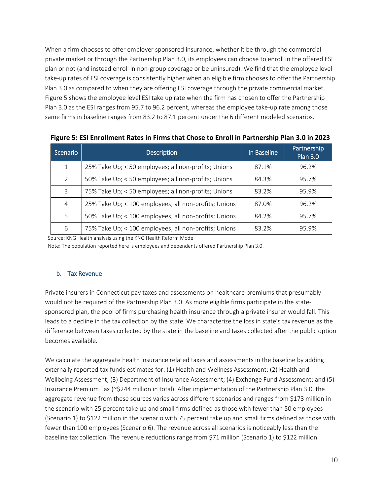When a firm chooses to offer employer sponsored insurance, whether it be through the commercial private market or through the Partnership Plan 3.0, its employees can choose to enroll in the offered ESI plan or not (and instead enroll in non-group coverage or be uninsured). We find that the employee level take-up rates of ESI coverage is consistently higher when an eligible firm chooses to offer the Partnership Plan 3.0 as compared to when they are offering ESI coverage through the private commercial market. Figure 5 shows the employee level ESI take up rate when the firm has chosen to offer the Partnership Plan 3.0 as the ESI ranges from 95.7 to 96.2 percent, whereas the employee take-up rate among those same firms in baseline ranges from 83.2 to 87.1 percent under the 6 different modeled scenarios.

| Scenario      | <b>Description</b>                                    | In Baseline | Partnership<br><b>Plan 3.0</b> |
|---------------|-------------------------------------------------------|-------------|--------------------------------|
| $\mathbf{1}$  | 25% Take Up; < 50 employees; all non-profits; Unions  | 87.1%       | 96.2%                          |
| $\mathcal{P}$ | 50% Take Up; < 50 employees; all non-profits; Unions  | 84.3%       | 95.7%                          |
| 3             | 75% Take Up; < 50 employees; all non-profits; Unions  | 83.2%       | 95.9%                          |
| 4             | 25% Take Up; < 100 employees; all non-profits; Unions | 87.0%       | 96.2%                          |
| .5            | 50% Take Up; < 100 employees; all non-profits; Unions | 84.2%       | 95.7%                          |
| 6             | 75% Take Up; < 100 employees; all non-profits; Unions | 83.2%       | 95.9%                          |

**Figure 5: ESI Enrollment Rates in Firms that Chose to Enroll in Partnership Plan 3.0 in 2023**

Source: KNG Health analysis using the KNG Health Reform Model

Note: The population reported here is employees and dependents offered Partnership Plan 3.0.

#### <span id="page-14-0"></span>b. Tax Revenue

Private insurers in Connecticut pay taxes and assessments on healthcare premiums that presumably would not be required of the Partnership Plan 3.0. As more eligible firms participate in the statesponsored plan, the pool of firms purchasing health insurance through a private insurer would fall. This leads to a decline in the tax collection by the state. We characterize the loss in state's tax revenue as the difference between taxes collected by the state in the baseline and taxes collected after the public option becomes available.

We calculate the aggregate health insurance related taxes and assessments in the baseline by adding externally reported tax funds estimates for: (1) Health and Wellness Assessment; (2) Health and Wellbeing Assessment; (3) Department of Insurance Assessment; (4) Exchange Fund Assessment; and (5) Insurance Premium Tax (~\$244 million in total). After implementation of the Partnership Plan 3.0, the aggregate revenue from these sources varies across different scenarios and ranges from \$173 million in the scenario with 25 percent take up and small firms defined as those with fewer than 50 employees (Scenario 1) to \$122 million in the scenario with 75 percent take up and small firms defined as those with fewer than 100 employees (Scenario 6). The revenue across all scenarios is noticeably less than the baseline tax collection. The revenue reductions range from \$71 million (Scenario 1) to \$122 million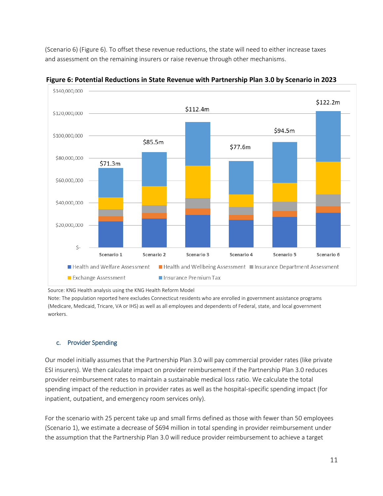(Scenario 6) (Figure 6). To offset these revenue reductions, the state will need to either increase taxes and assessment on the remaining insurers or raise revenue through other mechanisms.



**Figure 6: Potential Reductions in State Revenue with Partnership Plan 3.0 by Scenario in 2023**

Source: KNG Health analysis using the KNG Health Reform Model

Note: The population reported here excludes Connecticut residents who are enrolled in government assistance programs (Medicare, Medicaid, Tricare, VA or IHS) as well as all employees and dependents of Federal, state, and local government workers.

## <span id="page-15-0"></span>c. Provider Spending

Our model initially assumes that the Partnership Plan 3.0 will pay commercial provider rates (like private ESI insurers). We then calculate impact on provider reimbursement if the Partnership Plan 3.0 reduces provider reimbursement rates to maintain a sustainable medical loss ratio. We calculate the total spending impact of the reduction in provider rates as well as the hospital-specific spending impact (for inpatient, outpatient, and emergency room services only).

For the scenario with 25 percent take up and small firms defined as those with fewer than 50 employees (Scenario 1), we estimate a decrease of \$694 million in total spending in provider reimbursement under the assumption that the Partnership Plan 3.0 will reduce provider reimbursement to achieve a target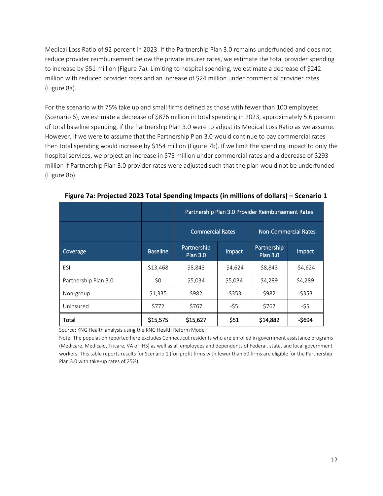Medical Loss Ratio of 92 percent in 2023. If the Partnership Plan 3.0 remains underfunded and does not reduce provider reimbursement below the private insurer rates, we estimate the total provider spending to increase by \$51 million (Figure 7a). Limiting to hospital spending, we estimate a decrease of \$242 million with reduced provider rates and an increase of \$24 million under commercial provider rates (Figure 8a).

For the scenario with 75% take up and small firms defined as those with fewer than 100 employees (Scenario 6), we estimate a decrease of \$876 million in total spending in 2023, approximately 5.6 percent of total baseline spending, if the Partnership Plan 3.0 were to adjust its Medical Loss Ratio as we assume. However, if we were to assume that the Partnership Plan 3.0 would continue to pay commercial rates then total spending would increase by \$154 million (Figure 7b). If we limit the spending impact to only the hospital services, we project an increase in \$73 million under commercial rates and a decrease of \$293 million if Partnership Plan 3.0 provider rates were adjusted such that the plan would not be underfunded (Figure 8b).

|                      |                 | Partnership Plan 3.0 Provider Reimbursement Rates |           |                                |           |  |
|----------------------|-----------------|---------------------------------------------------|-----------|--------------------------------|-----------|--|
|                      |                 | <b>Commercial Rates</b>                           |           | <b>Non-Commercial Rates</b>    |           |  |
| Coverage             | <b>Baseline</b> | Partnership<br><b>Plan 3.0</b>                    | Impact    | Partnership<br><b>Plan 3.0</b> | Impact    |  |
| ESI                  | \$13,468        | \$8,843                                           | $-54,624$ | \$8,843                        | $-54,624$ |  |
| Partnership Plan 3.0 | \$0             | \$5,034                                           | \$5,034   | \$4,289                        | \$4,289   |  |
| Non-group            | \$1,335         | \$982                                             | $-5353$   | \$982                          | $-5353$   |  |
| Uninsured            | \$772           | \$767                                             | -\$5      | \$767                          | $-55$     |  |
| Total                | \$15,575        | \$15,627                                          | \$51      | \$14,882                       | $-5694$   |  |

**Figure 7a: Projected 2023 Total Spending Impacts (in millions of dollars) – Scenario 1**

Source: KNG Health analysis using the KNG Health Reform Model

Note: The population reported here excludes Connecticut residents who are enrolled in government assistance programs (Medicare, Medicaid, Tricare, VA or IHS) as well as all employees and dependents of Federal, state, and local government workers. This table reports results for Scenario 1 (for-profit firms with fewer than 50 firms are eligible for the Partnership Plan 3.0 with take-up rates of 25%).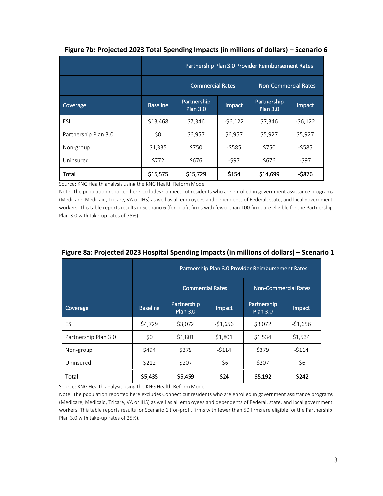|                      |                 | Partnership Plan 3.0 Provider Reimbursement Rates |           |                                |           |  |
|----------------------|-----------------|---------------------------------------------------|-----------|--------------------------------|-----------|--|
|                      |                 | <b>Commercial Rates</b>                           |           | <b>Non-Commercial Rates</b>    |           |  |
| Coverage             | <b>Baseline</b> | Partnership<br><b>Plan 3.0</b>                    | Impact    | Partnership<br><b>Plan 3.0</b> | Impact    |  |
| ESI                  | \$13,468        | \$7,346                                           | $-56,122$ | \$7,346                        | $-56,122$ |  |
| Partnership Plan 3.0 | \$0             | \$6,957                                           | \$6,957   | \$5,927                        | \$5,927   |  |
| Non-group            | \$1,335         | \$750                                             | $-5585$   | \$750                          | $-5585$   |  |
| Uninsured            | \$772           | \$676                                             | -\$97     | \$676                          | -\$97     |  |
| Total                | \$15,575        | \$15,729                                          | \$154     | \$14,699                       | $-5876$   |  |

#### **Figure 7b: Projected 2023 Total Spending Impacts (in millions of dollars) – Scenario 6**

Source: KNG Health analysis using the KNG Health Reform Model

Note: The population reported here excludes Connecticut residents who are enrolled in government assistance programs (Medicare, Medicaid, Tricare, VA or IHS) as well as all employees and dependents of Federal, state, and local government workers. This table reports results in Scenario 6 (for-profit firms with fewer than 100 firms are eligible for the Partnership Plan 3.0 with take-up rates of 75%).

|                      |                 | Partnership Plan 3.0 Provider Reimbursement Rates |                         |                                |                             |  |
|----------------------|-----------------|---------------------------------------------------|-------------------------|--------------------------------|-----------------------------|--|
|                      |                 |                                                   | <b>Commercial Rates</b> |                                | <b>Non-Commercial Rates</b> |  |
| Coverage             | <b>Baseline</b> | Partnership<br><b>Plan 3.0</b>                    | Impact                  | Partnership<br><b>Plan 3.0</b> | Impact                      |  |
| ESI                  | \$4,729         | \$3,072                                           | $-51,656$               | \$3,072                        | $-51,656$                   |  |
| Partnership Plan 3.0 | \$0             | \$1,801                                           | \$1,801                 | \$1,534                        | \$1,534                     |  |
| Non-group            | \$494           | \$379                                             | $-5114$                 | \$379                          | $-5114$                     |  |
| Uninsured            | \$212           | \$207                                             | $-56$                   | \$207                          | $-56$                       |  |
| Total                | \$5,435         | \$5,459                                           | \$24                    | \$5,192                        | $-5242$                     |  |

## **Figure 8a: Projected 2023 Hospital Spending Impacts (in millions of dollars) – Scenario 1**

Source: KNG Health analysis using the KNG Health Reform Model

Note: The population reported here excludes Connecticut residents who are enrolled in government assistance programs (Medicare, Medicaid, Tricare, VA or IHS) as well as all employees and dependents of Federal, state, and local government workers. This table reports results for Scenario 1 (for-profit firms with fewer than 50 firms are eligible for the Partnership Plan 3.0 with take-up rates of 25%).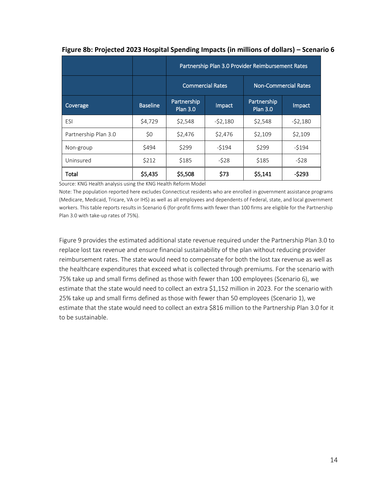|                      |                 | Partnership Plan 3.0 Provider Reimbursement Rates |           |                                |           |                             |  |
|----------------------|-----------------|---------------------------------------------------|-----------|--------------------------------|-----------|-----------------------------|--|
|                      |                 | <b>Commercial Rates</b>                           |           |                                |           | <b>Non-Commercial Rates</b> |  |
| Coverage             | <b>Baseline</b> | Partnership<br><b>Plan 3.0</b>                    | Impact    | Partnership<br><b>Plan 3.0</b> | Impact    |                             |  |
| ESI                  | \$4,729         | \$2,548                                           | $-52,180$ | \$2,548                        | $-52,180$ |                             |  |
| Partnership Plan 3.0 | \$0             | \$2,476                                           | \$2,476   | \$2,109                        | \$2,109   |                             |  |
| Non-group            | \$494           | \$299                                             | $-5194$   | \$299                          | $-5194$   |                             |  |
| Uninsured            | \$212           | \$185                                             | $-528$    | \$185                          | $-528$    |                             |  |
| Total                | \$5,435         | \$5,508                                           | \$73      | \$5,141                        | $-5293$   |                             |  |

#### **Figure 8b: Projected 2023 Hospital Spending Impacts (in millions of dollars) – Scenario 6**

Source: KNG Health analysis using the KNG Health Reform Model

Note: The population reported here excludes Connecticut residents who are enrolled in government assistance programs (Medicare, Medicaid, Tricare, VA or IHS) as well as all employees and dependents of Federal, state, and local government workers. This table reports results in Scenario 6 (for-profit firms with fewer than 100 firms are eligible for the Partnership Plan 3.0 with take-up rates of 75%).

Figure 9 provides the estimated additional state revenue required under the Partnership Plan 3.0 to replace lost tax revenue and ensure financial sustainability of the plan without reducing provider reimbursement rates. The state would need to compensate for both the lost tax revenue as well as the healthcare expenditures that exceed what is collected through premiums. For the scenario with 75% take up and small firms defined as those with fewer than 100 employees (Scenario 6), we estimate that the state would need to collect an extra \$1,152 million in 2023. For the scenario with 25% take up and small firms defined as those with fewer than 50 employees (Scenario 1), we estimate that the state would need to collect an extra \$816 million to the Partnership Plan 3.0 for it to be sustainable.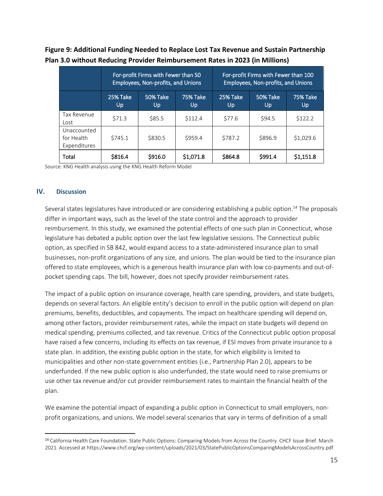|                                           |                | For-profit Firms with Fewer than 50<br>Employees, Non-profits, and Unions |                       | For-profit Firms with Fewer than 100<br>Employees, Non-profits, and Unions |                 |                 |
|-------------------------------------------|----------------|---------------------------------------------------------------------------|-----------------------|----------------------------------------------------------------------------|-----------------|-----------------|
|                                           | 25% Take<br>Up | 50% Take<br>Up                                                            | <b>75% Take</b><br>Up | 25% Take<br>Up                                                             | 50% Take<br>Up. | 75% Take<br>Up. |
| Tax Revenue<br>Lost                       | \$71.3         | \$85.5                                                                    | \$112.4               | \$77.6                                                                     | \$94.5          | \$122.2         |
| Unaccounted<br>for Health<br>Expenditures | \$745.1        | \$830.5                                                                   | \$959.4               | \$787.2                                                                    | \$896.9         | \$1,029.6       |
| Total                                     | \$816.4        | \$916.0                                                                   | \$1,071.8             | \$864.8                                                                    | \$991.4         | \$1,151.8       |

**Figure 9: Additional Funding Needed to Replace Lost Tax Revenue and Sustain Partnership Plan 3.0 without Reducing Provider Reimbursement Rates in 2023 (in Millions)**

Source: KNG Health analysis using the KNG Health Reform Model

#### <span id="page-19-0"></span>**IV. Discussion**

 $\overline{a}$ 

Several states legislatures have introduced or are considering establishing a public option.<sup>14</sup> The proposals differ in important ways, such as the level of the state control and the approach to provider reimbursement. In this study, we examined the potential effects of one such plan in Connecticut, whose legislature has debated a public option over the last few legislative sessions. The Connecticut public option, as specified in SB 842, would expand access to a state-administered insurance plan to small businesses, non-profit organizations of any size, and unions. The plan would be tied to the insurance plan offered to state employees, which is a generous health insurance plan with low co-payments and out-ofpocket spending caps. The bill, however, does not specify provider reimbursement rates.

The impact of a public option on insurance coverage, health care spending, providers, and state budgets, depends on several factors. An eligible entity's decision to enroll in the public option will depend on plan premiums, benefits, deductibles, and copayments. The impact on healthcare spending will depend on, among other factors, provider reimbursement rates, while the impact on state budgets will depend on medical spending, premiums collected, and tax revenue. Critics of the Connecticut public option proposal have raised a few concerns, including its effects on tax revenue, if ESI moves from private insurance to a state plan. In addition, the existing public option in the state, for which eligibility is limited to municipalities and other non-state government entities (i.e., Partnership Plan 2.0), appears to be underfunded. If the new public option is also underfunded, the state would need to raise premiums or use other tax revenue and/or cut provider reimbursement rates to maintain the financial health of the plan.

We examine the potential impact of expanding a public option in Connecticut to small employers, nonprofit organizations, and unions. We model several scenarios that vary in terms of definition of a small

<sup>14</sup> California Health Care Foundation. State Public Options: Comparing Models from Across the Country. CHCF Issue Brief. March 2021. Accessed at https://www.chcf.org/wp-content/uploads/2021/03/StatePublicOptionsComparingModelsAcrossCountry.pdf